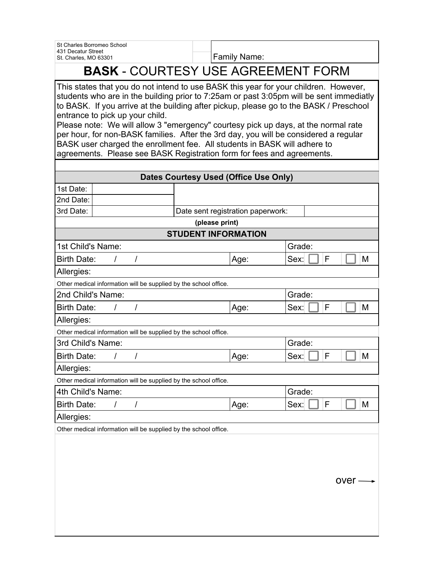St Charles Borromeo School 431 Decatur Street St. Charles, MO 63301 **Family Name:** 

## **BASK** - COURTESY USE AGREEMENT FORM

This states that you do not intend to use BASK this year for your children. However, students who are in the building prior to 7:25am or past 3:05pm will be sent immediatly to BASK. If you arrive at the building after pickup, please go to the BASK / Preschool entrance to pick up your child.

Please note: We will allow 3 "emergency" courtesy pick up days, at the normal rate per hour, for non-BASK families. After the 3rd day, you will be considered a regular BASK user charged the enrollment fee. All students in BASK will adhere to agreements. Please see BASK Registration form for fees and agreements.

| Dates Courtesy Used (Office Use Only)                            |  |          |                |  |  |  |                                   |        |        |  |   |                          |
|------------------------------------------------------------------|--|----------|----------------|--|--|--|-----------------------------------|--------|--------|--|---|--------------------------|
| 1st Date:                                                        |  |          |                |  |  |  |                                   |        |        |  |   |                          |
| 2nd Date:                                                        |  |          |                |  |  |  |                                   |        |        |  |   |                          |
| 3rd Date:                                                        |  |          |                |  |  |  | Date sent registration paperwork: |        |        |  |   |                          |
| (please print)                                                   |  |          |                |  |  |  |                                   |        |        |  |   |                          |
| <b>STUDENT INFORMATION</b>                                       |  |          |                |  |  |  |                                   |        |        |  |   |                          |
| 1st Child's Name:                                                |  |          |                |  |  |  |                                   |        | Grade: |  |   |                          |
| <b>Birth Date:</b>                                               |  | $\prime$ | $\prime$       |  |  |  | Age:                              |        | Sex:   |  | F | M                        |
| Allergies:                                                       |  |          |                |  |  |  |                                   |        |        |  |   |                          |
| Other medical information will be supplied by the school office. |  |          |                |  |  |  |                                   |        |        |  |   |                          |
| 2nd Child's Name:                                                |  |          |                |  |  |  |                                   |        | Grade: |  |   |                          |
| <b>Birth Date:</b>                                               |  | $\prime$ | $\prime$       |  |  |  | Age:                              |        | Sex:   |  | F | M                        |
| Allergies:                                                       |  |          |                |  |  |  |                                   |        |        |  |   |                          |
| Other medical information will be supplied by the school office. |  |          |                |  |  |  |                                   |        |        |  |   |                          |
| 3rd Child's Name:                                                |  |          |                |  |  |  |                                   | Grade: |        |  |   |                          |
| <b>Birth Date:</b>                                               |  | $\prime$ | $\prime$       |  |  |  | Age:                              |        | Sex:   |  | F | M                        |
| Allergies:                                                       |  |          |                |  |  |  |                                   |        |        |  |   |                          |
| Other medical information will be supplied by the school office. |  |          |                |  |  |  |                                   |        |        |  |   |                          |
| 4th Child's Name:                                                |  |          |                |  |  |  |                                   |        | Grade: |  |   |                          |
| <b>Birth Date:</b>                                               |  | $\prime$ | $\overline{I}$ |  |  |  | Age:                              |        | Sex:   |  | F | M                        |
| Allergies:                                                       |  |          |                |  |  |  |                                   |        |        |  |   |                          |
| Other medical information will be supplied by the school office. |  |          |                |  |  |  |                                   |        |        |  |   |                          |
|                                                                  |  |          |                |  |  |  |                                   |        |        |  |   |                          |
|                                                                  |  |          |                |  |  |  |                                   |        |        |  |   |                          |
|                                                                  |  |          |                |  |  |  |                                   |        |        |  |   |                          |
|                                                                  |  |          |                |  |  |  |                                   |        |        |  |   | $over \rightarrow{over}$ |
|                                                                  |  |          |                |  |  |  |                                   |        |        |  |   |                          |
|                                                                  |  |          |                |  |  |  |                                   |        |        |  |   |                          |
|                                                                  |  |          |                |  |  |  |                                   |        |        |  |   |                          |
|                                                                  |  |          |                |  |  |  |                                   |        |        |  |   |                          |
|                                                                  |  |          |                |  |  |  |                                   |        |        |  |   |                          |